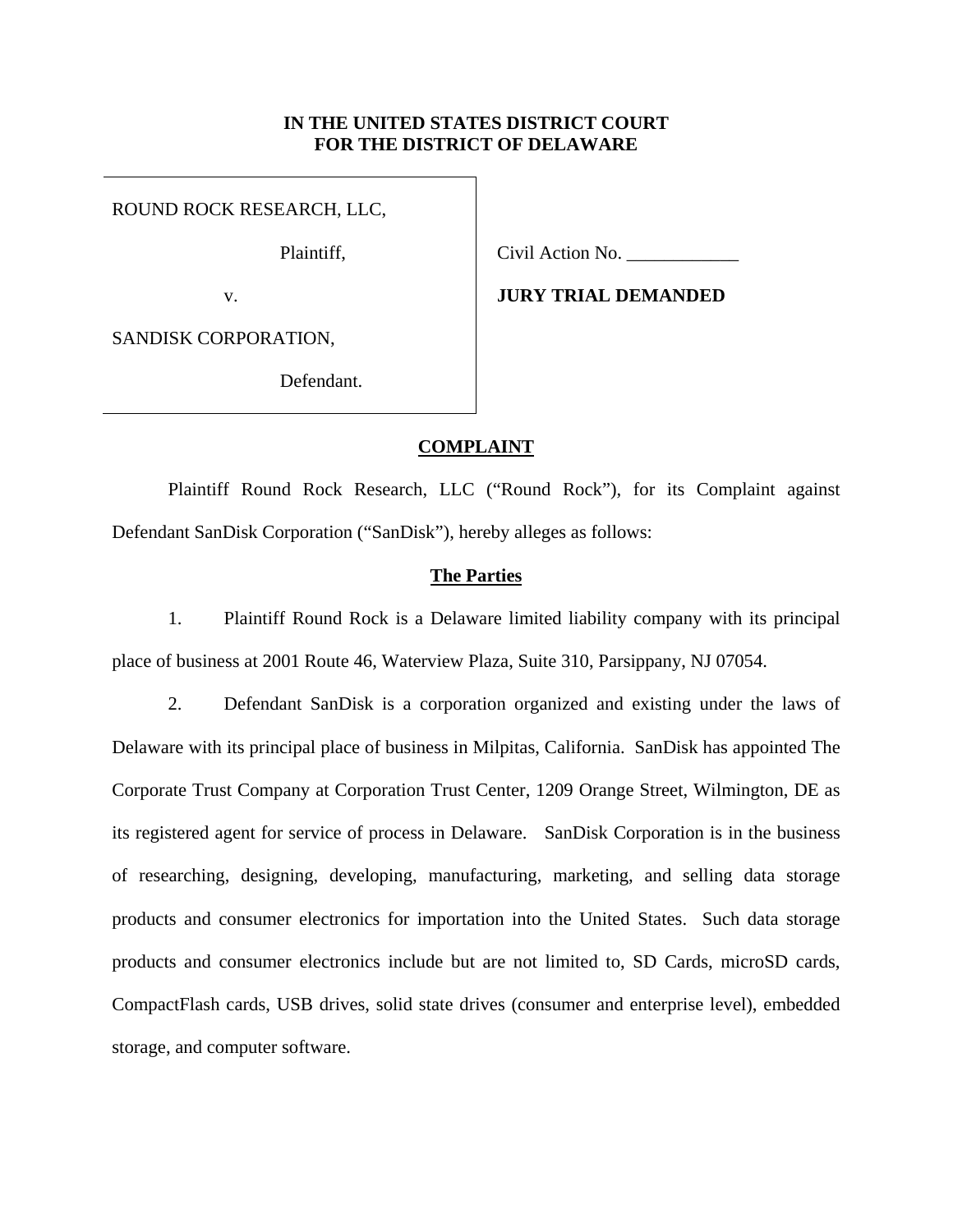# **IN THE UNITED STATES DISTRICT COURT FOR THE DISTRICT OF DELAWARE**

ROUND ROCK RESEARCH, LLC,

Plaintiff,

v.

Civil Action No. \_\_\_\_\_\_\_\_\_\_\_\_

**JURY TRIAL DEMANDED** 

SANDISK CORPORATION,

Defendant.

# **COMPLAINT**

 Plaintiff Round Rock Research, LLC ("Round Rock"), for its Complaint against Defendant SanDisk Corporation ("SanDisk"), hereby alleges as follows:

# **The Parties**

1. Plaintiff Round Rock is a Delaware limited liability company with its principal place of business at 2001 Route 46, Waterview Plaza, Suite 310, Parsippany, NJ 07054.

2. Defendant SanDisk is a corporation organized and existing under the laws of Delaware with its principal place of business in Milpitas, California. SanDisk has appointed The Corporate Trust Company at Corporation Trust Center, 1209 Orange Street, Wilmington, DE as its registered agent for service of process in Delaware. SanDisk Corporation is in the business of researching, designing, developing, manufacturing, marketing, and selling data storage products and consumer electronics for importation into the United States. Such data storage products and consumer electronics include but are not limited to, SD Cards, microSD cards, CompactFlash cards, USB drives, solid state drives (consumer and enterprise level), embedded storage, and computer software.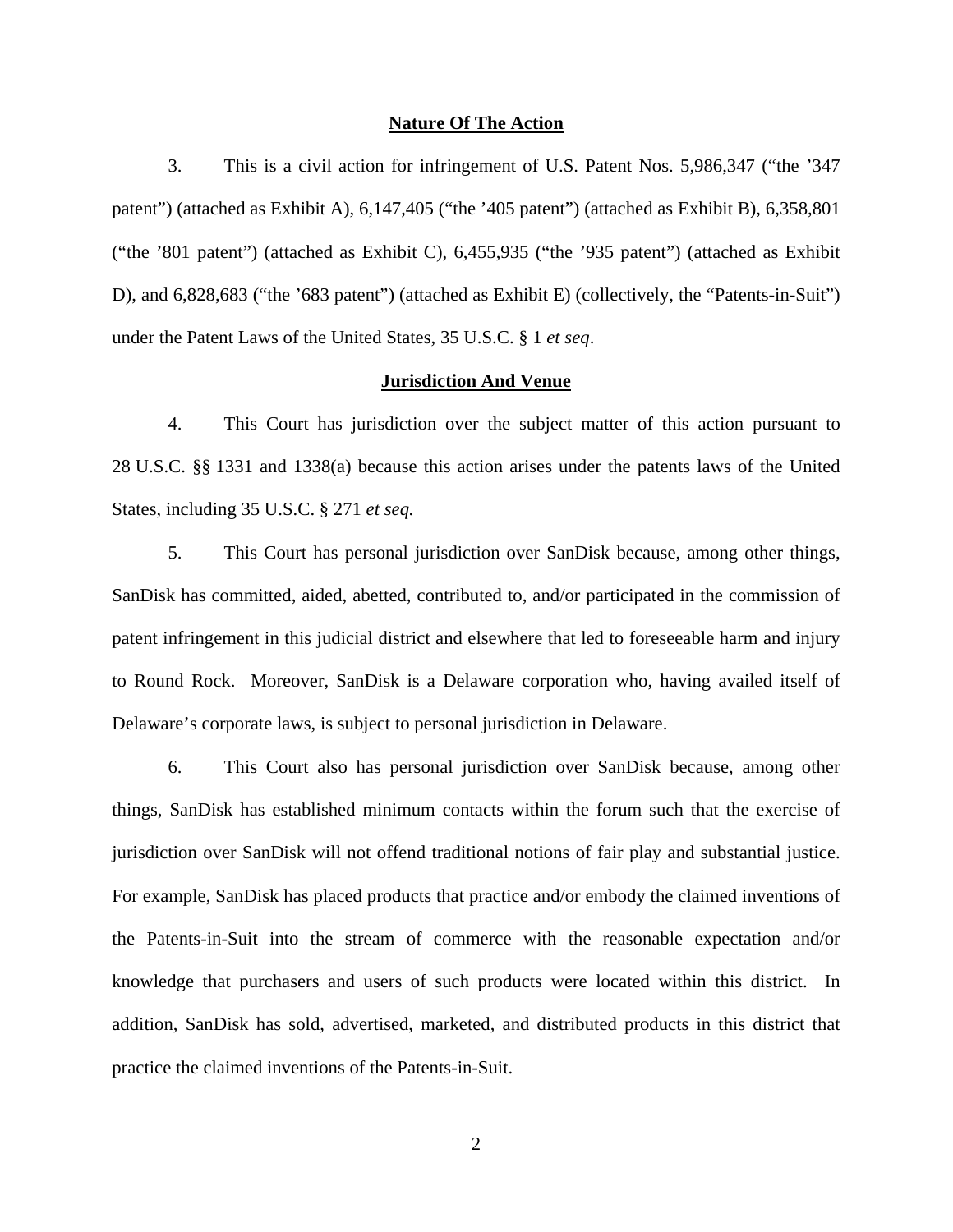#### **Nature Of The Action**

3. This is a civil action for infringement of U.S. Patent Nos. 5,986,347 ("the '347 patent") (attached as Exhibit A), 6,147,405 ("the '405 patent") (attached as Exhibit B), 6,358,801 ("the '801 patent") (attached as Exhibit C), 6,455,935 ("the '935 patent") (attached as Exhibit D), and 6,828,683 ("the '683 patent") (attached as Exhibit E) (collectively, the "Patents-in-Suit") under the Patent Laws of the United States, 35 U.S.C. § 1 *et seq*.

## **Jurisdiction And Venue**

4. This Court has jurisdiction over the subject matter of this action pursuant to 28 U.S.C. §§ 1331 and 1338(a) because this action arises under the patents laws of the United States, including 35 U.S.C. § 271 *et seq.*

5. This Court has personal jurisdiction over SanDisk because, among other things, SanDisk has committed, aided, abetted, contributed to, and/or participated in the commission of patent infringement in this judicial district and elsewhere that led to foreseeable harm and injury to Round Rock. Moreover, SanDisk is a Delaware corporation who, having availed itself of Delaware's corporate laws, is subject to personal jurisdiction in Delaware.

6. This Court also has personal jurisdiction over SanDisk because, among other things, SanDisk has established minimum contacts within the forum such that the exercise of jurisdiction over SanDisk will not offend traditional notions of fair play and substantial justice. For example, SanDisk has placed products that practice and/or embody the claimed inventions of the Patents-in-Suit into the stream of commerce with the reasonable expectation and/or knowledge that purchasers and users of such products were located within this district. In addition, SanDisk has sold, advertised, marketed, and distributed products in this district that practice the claimed inventions of the Patents-in-Suit.

2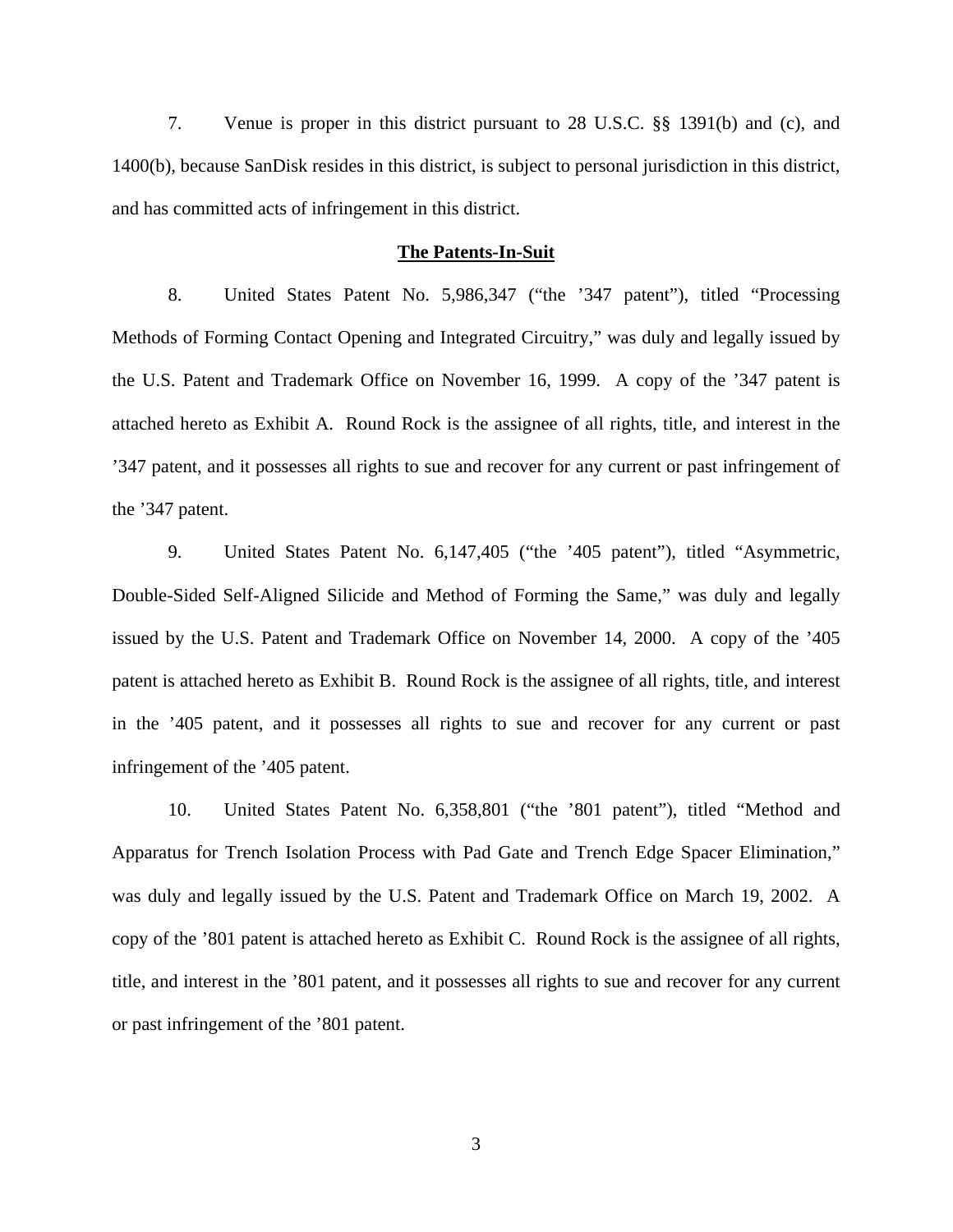7. Venue is proper in this district pursuant to 28 U.S.C. §§ 1391(b) and (c), and 1400(b), because SanDisk resides in this district, is subject to personal jurisdiction in this district, and has committed acts of infringement in this district.

#### **The Patents-In-Suit**

8. United States Patent No. 5,986,347 ("the '347 patent"), titled "Processing Methods of Forming Contact Opening and Integrated Circuitry," was duly and legally issued by the U.S. Patent and Trademark Office on November 16, 1999. A copy of the '347 patent is attached hereto as Exhibit A. Round Rock is the assignee of all rights, title, and interest in the '347 patent, and it possesses all rights to sue and recover for any current or past infringement of the '347 patent.

9. United States Patent No. 6,147,405 ("the '405 patent"), titled "Asymmetric, Double-Sided Self-Aligned Silicide and Method of Forming the Same," was duly and legally issued by the U.S. Patent and Trademark Office on November 14, 2000. A copy of the '405 patent is attached hereto as Exhibit B. Round Rock is the assignee of all rights, title, and interest in the '405 patent, and it possesses all rights to sue and recover for any current or past infringement of the '405 patent.

10. United States Patent No. 6,358,801 ("the '801 patent"), titled "Method and Apparatus for Trench Isolation Process with Pad Gate and Trench Edge Spacer Elimination," was duly and legally issued by the U.S. Patent and Trademark Office on March 19, 2002. A copy of the '801 patent is attached hereto as Exhibit C. Round Rock is the assignee of all rights, title, and interest in the '801 patent, and it possesses all rights to sue and recover for any current or past infringement of the '801 patent.

3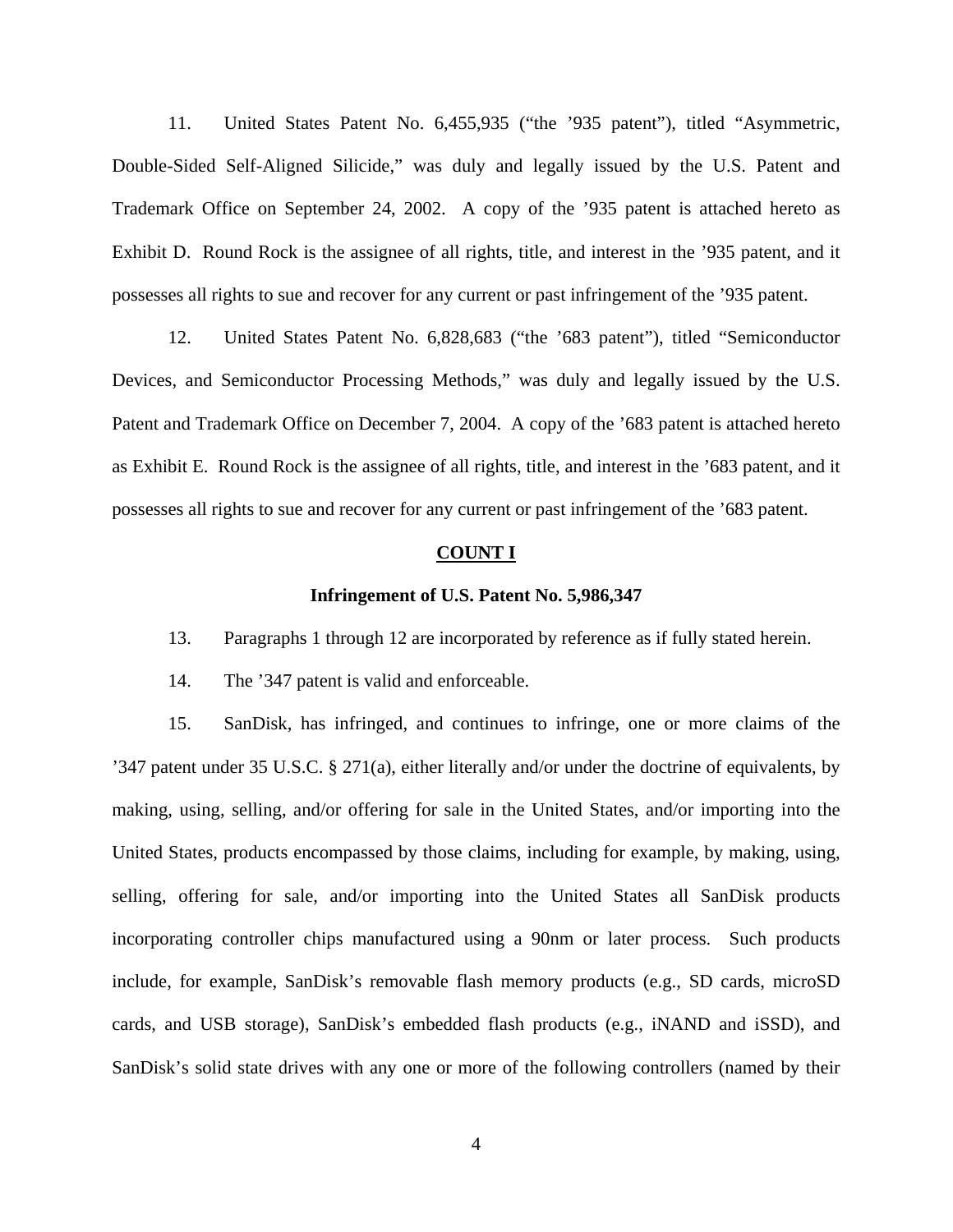11. United States Patent No. 6,455,935 ("the '935 patent"), titled "Asymmetric, Double-Sided Self-Aligned Silicide," was duly and legally issued by the U.S. Patent and Trademark Office on September 24, 2002. A copy of the '935 patent is attached hereto as Exhibit D. Round Rock is the assignee of all rights, title, and interest in the '935 patent, and it possesses all rights to sue and recover for any current or past infringement of the '935 patent.

12. United States Patent No. 6,828,683 ("the '683 patent"), titled "Semiconductor Devices, and Semiconductor Processing Methods," was duly and legally issued by the U.S. Patent and Trademark Office on December 7, 2004. A copy of the '683 patent is attached hereto as Exhibit E. Round Rock is the assignee of all rights, title, and interest in the '683 patent, and it possesses all rights to sue and recover for any current or past infringement of the '683 patent.

### **COUNT I**

### **Infringement of U.S. Patent No. 5,986,347**

13. Paragraphs 1 through 12 are incorporated by reference as if fully stated herein.

14. The '347 patent is valid and enforceable.

15. SanDisk, has infringed, and continues to infringe, one or more claims of the '347 patent under 35 U.S.C. § 271(a), either literally and/or under the doctrine of equivalents, by making, using, selling, and/or offering for sale in the United States, and/or importing into the United States, products encompassed by those claims, including for example, by making, using, selling, offering for sale, and/or importing into the United States all SanDisk products incorporating controller chips manufactured using a 90nm or later process. Such products include, for example, SanDisk's removable flash memory products (e.g., SD cards, microSD cards, and USB storage), SanDisk's embedded flash products (e.g., iNAND and iSSD), and SanDisk's solid state drives with any one or more of the following controllers (named by their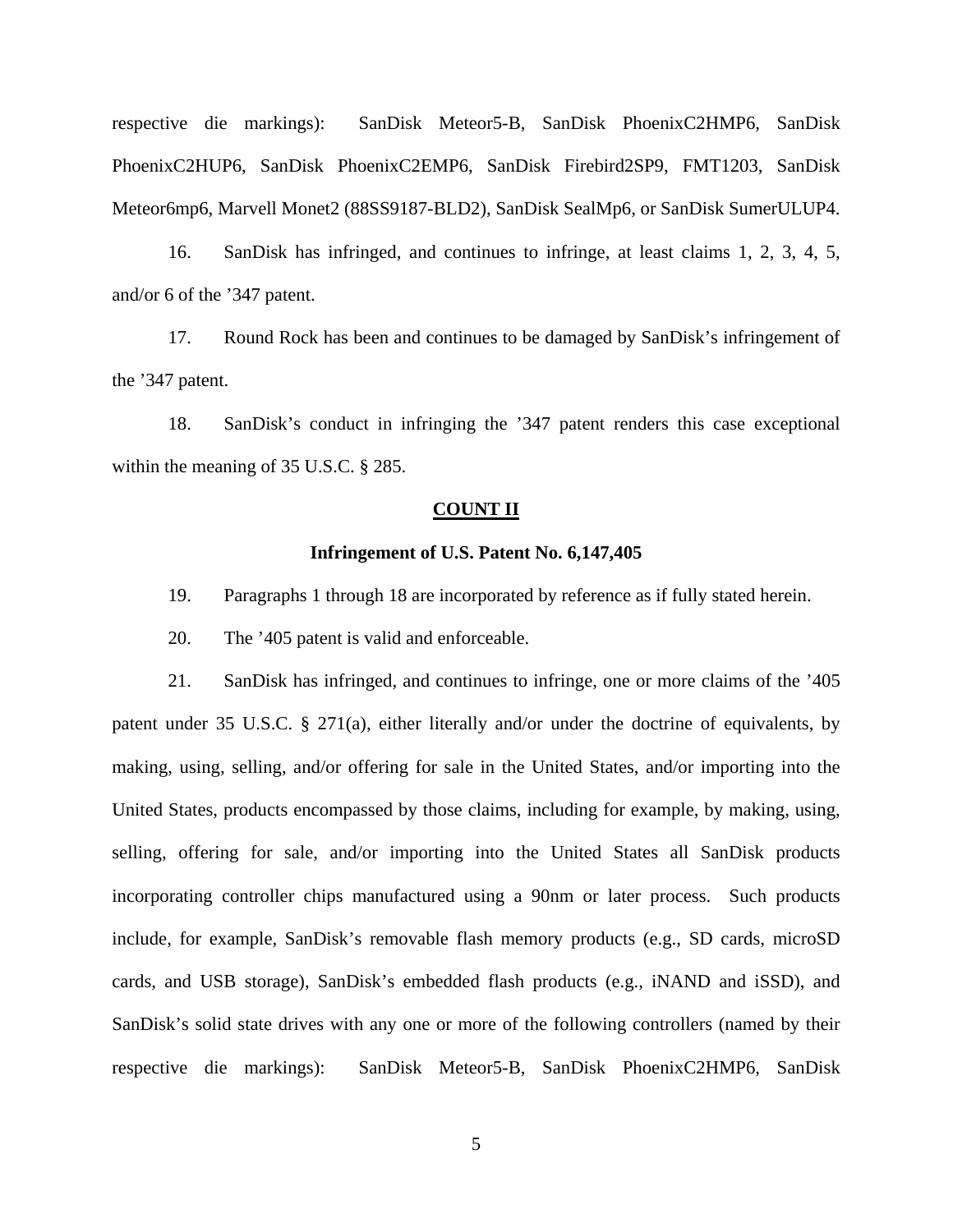respective die markings): SanDisk Meteor5-B, SanDisk PhoenixC2HMP6, SanDisk PhoenixC2HUP6, SanDisk PhoenixC2EMP6, SanDisk Firebird2SP9, FMT1203, SanDisk Meteor6mp6, Marvell Monet2 (88SS9187-BLD2), SanDisk SealMp6, or SanDisk SumerULUP4.

16. SanDisk has infringed, and continues to infringe, at least claims 1, 2, 3, 4, 5, and/or 6 of the '347 patent.

17. Round Rock has been and continues to be damaged by SanDisk's infringement of the '347 patent.

18. SanDisk's conduct in infringing the '347 patent renders this case exceptional within the meaning of 35 U.S.C. § 285.

#### **COUNT II**

### **Infringement of U.S. Patent No. 6,147,405**

19. Paragraphs 1 through 18 are incorporated by reference as if fully stated herein.

20. The '405 patent is valid and enforceable.

21. SanDisk has infringed, and continues to infringe, one or more claims of the '405 patent under 35 U.S.C. § 271(a), either literally and/or under the doctrine of equivalents, by making, using, selling, and/or offering for sale in the United States, and/or importing into the United States, products encompassed by those claims, including for example, by making, using, selling, offering for sale, and/or importing into the United States all SanDisk products incorporating controller chips manufactured using a 90nm or later process. Such products include, for example, SanDisk's removable flash memory products (e.g., SD cards, microSD cards, and USB storage), SanDisk's embedded flash products (e.g., iNAND and iSSD), and SanDisk's solid state drives with any one or more of the following controllers (named by their respective die markings): SanDisk Meteor5-B, SanDisk PhoenixC2HMP6, SanDisk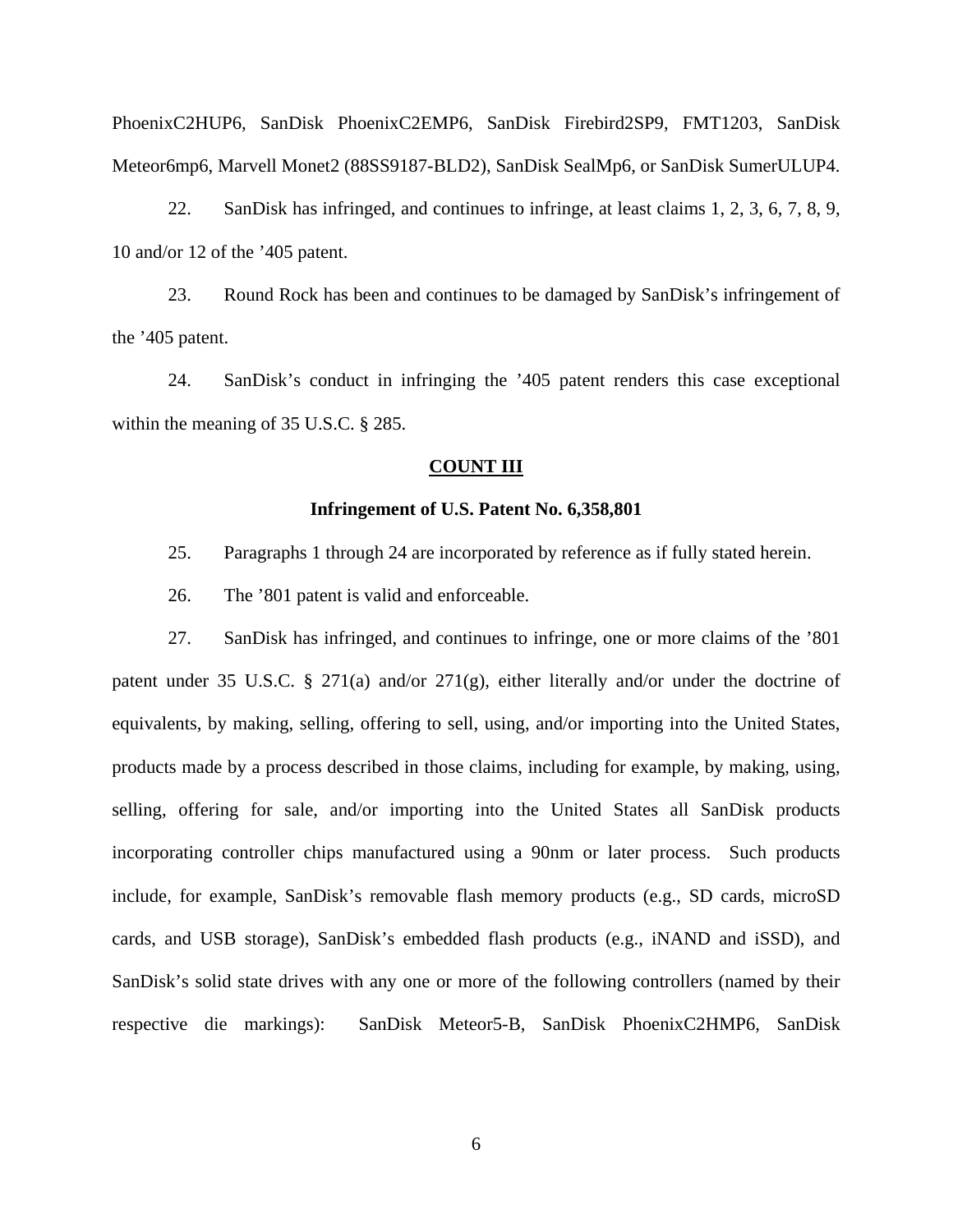22. SanDisk has infringed, and continues to infringe, at least claims 1, 2, 3, 6, 7, 8, 9, 10 and/or 12 of the '405 patent.

23. Round Rock has been and continues to be damaged by SanDisk's infringement of the '405 patent.

24. SanDisk's conduct in infringing the '405 patent renders this case exceptional within the meaning of 35 U.S.C. § 285.

#### **COUNT III**

### **Infringement of U.S. Patent No. 6,358,801**

- 25. Paragraphs 1 through 24 are incorporated by reference as if fully stated herein.
- 26. The '801 patent is valid and enforceable.

27. SanDisk has infringed, and continues to infringe, one or more claims of the '801 patent under 35 U.S.C. § 271(a) and/or 271(g), either literally and/or under the doctrine of equivalents, by making, selling, offering to sell, using, and/or importing into the United States, products made by a process described in those claims, including for example, by making, using, selling, offering for sale, and/or importing into the United States all SanDisk products incorporating controller chips manufactured using a 90nm or later process. Such products include, for example, SanDisk's removable flash memory products (e.g., SD cards, microSD cards, and USB storage), SanDisk's embedded flash products (e.g., iNAND and iSSD), and SanDisk's solid state drives with any one or more of the following controllers (named by their respective die markings): SanDisk Meteor5-B, SanDisk PhoenixC2HMP6, SanDisk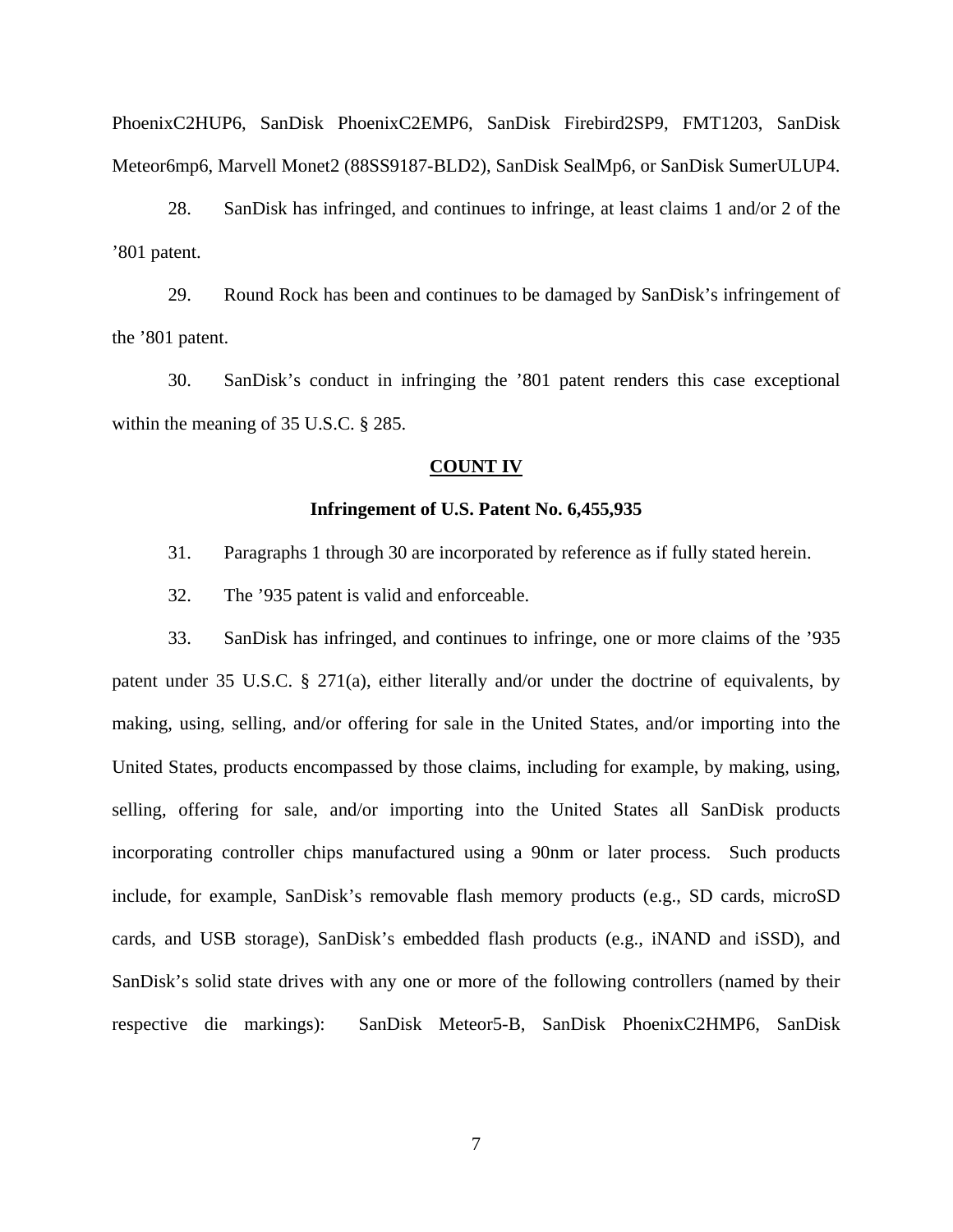28. SanDisk has infringed, and continues to infringe, at least claims 1 and/or 2 of the '801 patent.

29. Round Rock has been and continues to be damaged by SanDisk's infringement of the '801 patent.

30. SanDisk's conduct in infringing the '801 patent renders this case exceptional within the meaning of 35 U.S.C. § 285.

#### **COUNT IV**

### **Infringement of U.S. Patent No. 6,455,935**

- 31. Paragraphs 1 through 30 are incorporated by reference as if fully stated herein.
- 32. The '935 patent is valid and enforceable.

33. SanDisk has infringed, and continues to infringe, one or more claims of the '935 patent under 35 U.S.C. § 271(a), either literally and/or under the doctrine of equivalents, by making, using, selling, and/or offering for sale in the United States, and/or importing into the United States, products encompassed by those claims, including for example, by making, using, selling, offering for sale, and/or importing into the United States all SanDisk products incorporating controller chips manufactured using a 90nm or later process. Such products include, for example, SanDisk's removable flash memory products (e.g., SD cards, microSD cards, and USB storage), SanDisk's embedded flash products (e.g., iNAND and iSSD), and SanDisk's solid state drives with any one or more of the following controllers (named by their respective die markings): SanDisk Meteor5-B, SanDisk PhoenixC2HMP6, SanDisk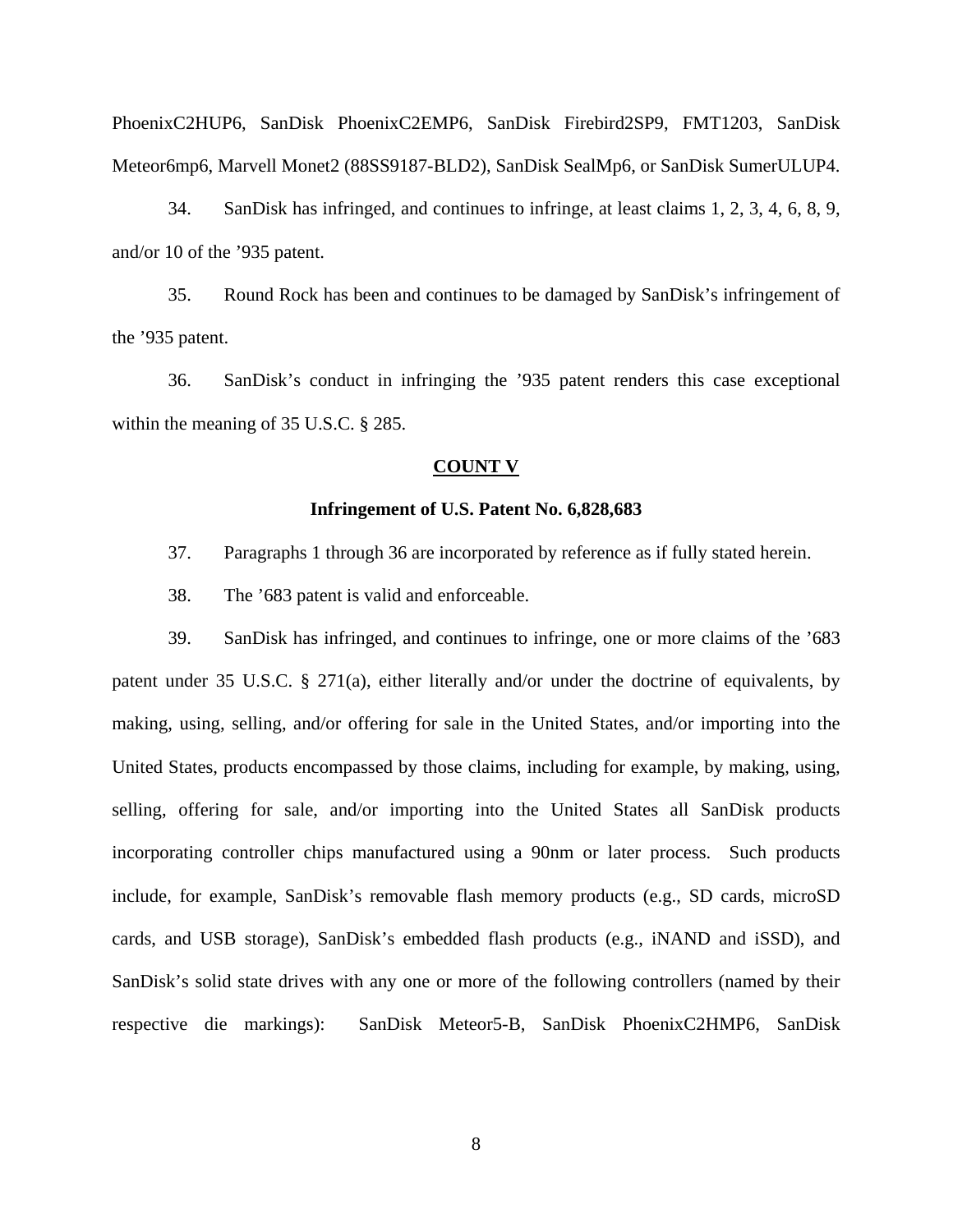34. SanDisk has infringed, and continues to infringe, at least claims 1, 2, 3, 4, 6, 8, 9, and/or 10 of the '935 patent.

35. Round Rock has been and continues to be damaged by SanDisk's infringement of the '935 patent.

36. SanDisk's conduct in infringing the '935 patent renders this case exceptional within the meaning of 35 U.S.C. § 285.

# **COUNT V**

### **Infringement of U.S. Patent No. 6,828,683**

- 37. Paragraphs 1 through 36 are incorporated by reference as if fully stated herein.
- 38. The '683 patent is valid and enforceable.

39. SanDisk has infringed, and continues to infringe, one or more claims of the '683 patent under 35 U.S.C. § 271(a), either literally and/or under the doctrine of equivalents, by making, using, selling, and/or offering for sale in the United States, and/or importing into the United States, products encompassed by those claims, including for example, by making, using, selling, offering for sale, and/or importing into the United States all SanDisk products incorporating controller chips manufactured using a 90nm or later process. Such products include, for example, SanDisk's removable flash memory products (e.g., SD cards, microSD cards, and USB storage), SanDisk's embedded flash products (e.g., iNAND and iSSD), and SanDisk's solid state drives with any one or more of the following controllers (named by their respective die markings): SanDisk Meteor5-B, SanDisk PhoenixC2HMP6, SanDisk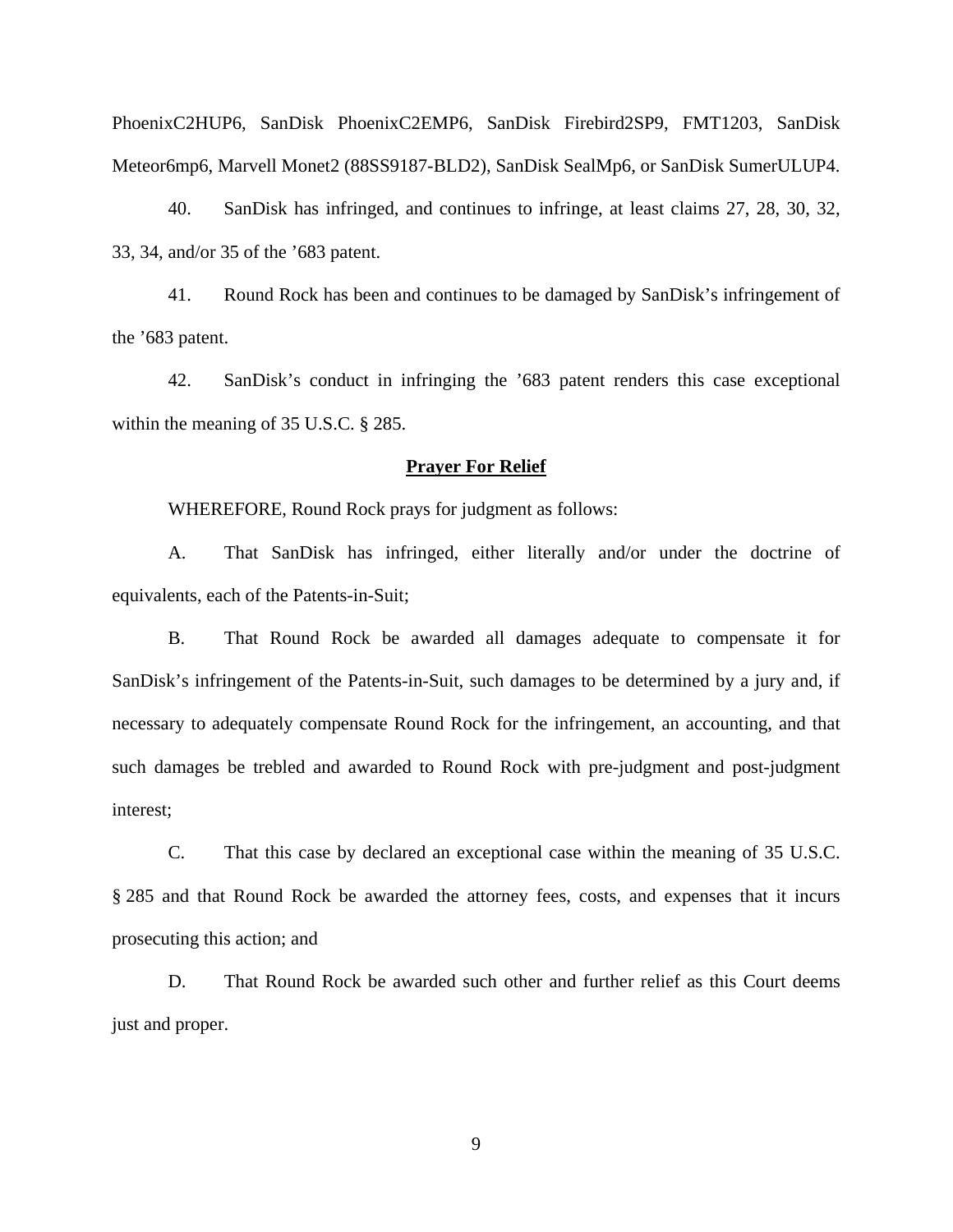40. SanDisk has infringed, and continues to infringe, at least claims 27, 28, 30, 32, 33, 34, and/or 35 of the '683 patent.

41. Round Rock has been and continues to be damaged by SanDisk's infringement of the '683 patent.

42. SanDisk's conduct in infringing the '683 patent renders this case exceptional within the meaning of 35 U.S.C. § 285.

#### **Prayer For Relief**

WHEREFORE, Round Rock prays for judgment as follows:

 A. That SanDisk has infringed, either literally and/or under the doctrine of equivalents, each of the Patents-in-Suit;

B. That Round Rock be awarded all damages adequate to compensate it for SanDisk's infringement of the Patents-in-Suit, such damages to be determined by a jury and, if necessary to adequately compensate Round Rock for the infringement, an accounting, and that such damages be trebled and awarded to Round Rock with pre-judgment and post-judgment interest;

 C. That this case by declared an exceptional case within the meaning of 35 U.S.C. § 285 and that Round Rock be awarded the attorney fees, costs, and expenses that it incurs prosecuting this action; and

 D. That Round Rock be awarded such other and further relief as this Court deems just and proper.

9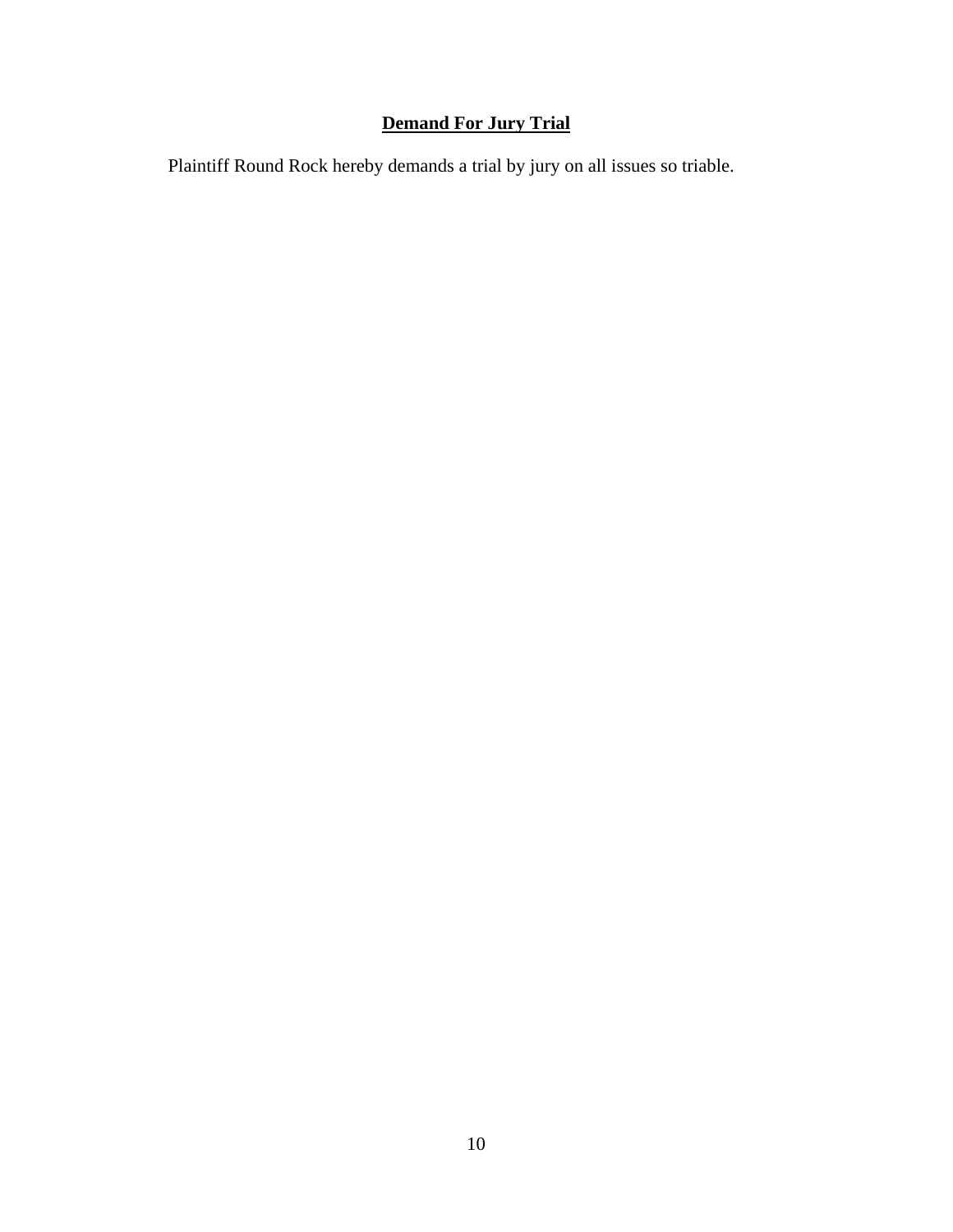# **Demand For Jury Trial**

Plaintiff Round Rock hereby demands a trial by jury on all issues so triable.